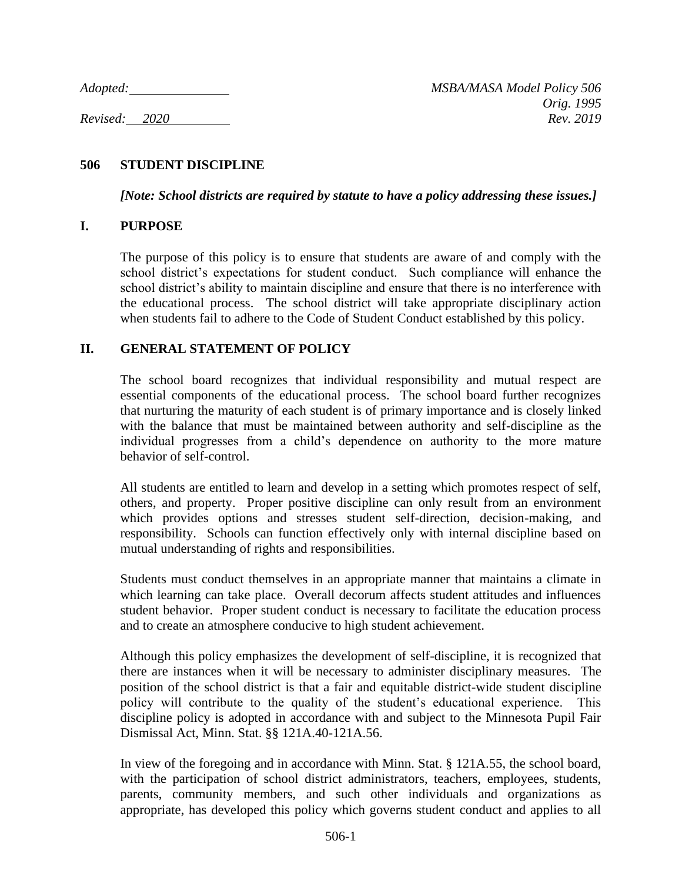### **506 STUDENT DISCIPLINE**

*[Note: School districts are required by statute to have a policy addressing these issues.]*

#### **I. PURPOSE**

The purpose of this policy is to ensure that students are aware of and comply with the school district's expectations for student conduct. Such compliance will enhance the school district's ability to maintain discipline and ensure that there is no interference with the educational process. The school district will take appropriate disciplinary action when students fail to adhere to the Code of Student Conduct established by this policy.

### **II. GENERAL STATEMENT OF POLICY**

The school board recognizes that individual responsibility and mutual respect are essential components of the educational process. The school board further recognizes that nurturing the maturity of each student is of primary importance and is closely linked with the balance that must be maintained between authority and self-discipline as the individual progresses from a child's dependence on authority to the more mature behavior of self-control.

All students are entitled to learn and develop in a setting which promotes respect of self, others, and property. Proper positive discipline can only result from an environment which provides options and stresses student self-direction, decision-making, and responsibility. Schools can function effectively only with internal discipline based on mutual understanding of rights and responsibilities.

Students must conduct themselves in an appropriate manner that maintains a climate in which learning can take place. Overall decorum affects student attitudes and influences student behavior. Proper student conduct is necessary to facilitate the education process and to create an atmosphere conducive to high student achievement.

Although this policy emphasizes the development of self-discipline, it is recognized that there are instances when it will be necessary to administer disciplinary measures. The position of the school district is that a fair and equitable district-wide student discipline policy will contribute to the quality of the student's educational experience. This discipline policy is adopted in accordance with and subject to the Minnesota Pupil Fair Dismissal Act, Minn. Stat. §§ 121A.40-121A.56.

In view of the foregoing and in accordance with Minn. Stat. § 121A.55, the school board, with the participation of school district administrators, teachers, employees, students, parents, community members, and such other individuals and organizations as appropriate, has developed this policy which governs student conduct and applies to all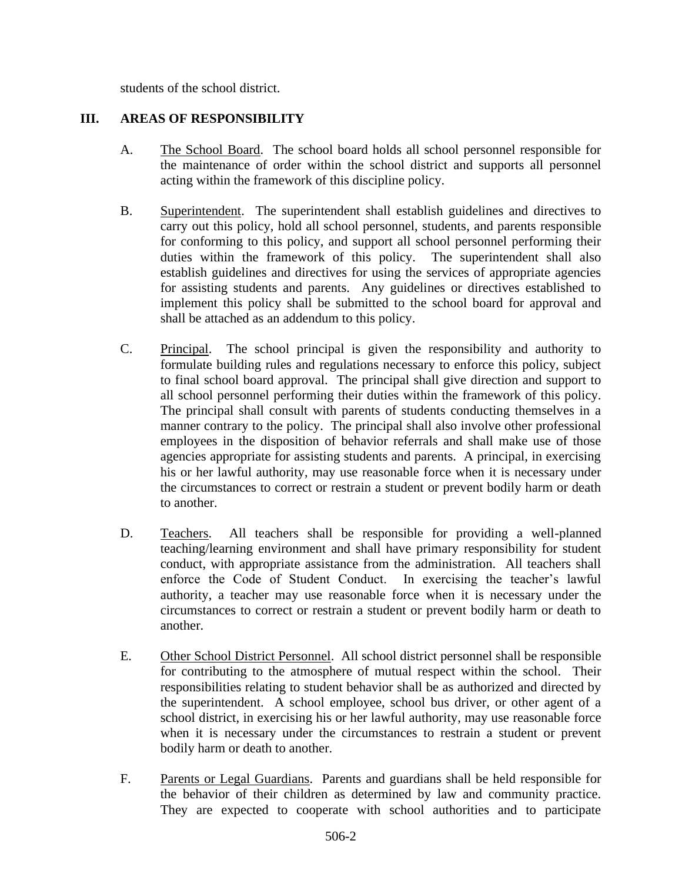students of the school district.

## **III. AREAS OF RESPONSIBILITY**

- A. The School Board. The school board holds all school personnel responsible for the maintenance of order within the school district and supports all personnel acting within the framework of this discipline policy.
- B. Superintendent. The superintendent shall establish guidelines and directives to carry out this policy, hold all school personnel, students, and parents responsible for conforming to this policy, and support all school personnel performing their duties within the framework of this policy. The superintendent shall also establish guidelines and directives for using the services of appropriate agencies for assisting students and parents. Any guidelines or directives established to implement this policy shall be submitted to the school board for approval and shall be attached as an addendum to this policy.
- C. Principal. The school principal is given the responsibility and authority to formulate building rules and regulations necessary to enforce this policy, subject to final school board approval. The principal shall give direction and support to all school personnel performing their duties within the framework of this policy. The principal shall consult with parents of students conducting themselves in a manner contrary to the policy. The principal shall also involve other professional employees in the disposition of behavior referrals and shall make use of those agencies appropriate for assisting students and parents. A principal, in exercising his or her lawful authority, may use reasonable force when it is necessary under the circumstances to correct or restrain a student or prevent bodily harm or death to another.
- D. Teachers. All teachers shall be responsible for providing a well-planned teaching/learning environment and shall have primary responsibility for student conduct, with appropriate assistance from the administration. All teachers shall enforce the Code of Student Conduct. In exercising the teacher's lawful authority, a teacher may use reasonable force when it is necessary under the circumstances to correct or restrain a student or prevent bodily harm or death to another.
- E. Other School District Personnel. All school district personnel shall be responsible for contributing to the atmosphere of mutual respect within the school. Their responsibilities relating to student behavior shall be as authorized and directed by the superintendent. A school employee, school bus driver, or other agent of a school district, in exercising his or her lawful authority, may use reasonable force when it is necessary under the circumstances to restrain a student or prevent bodily harm or death to another.
- F. Parents or Legal Guardians. Parents and guardians shall be held responsible for the behavior of their children as determined by law and community practice. They are expected to cooperate with school authorities and to participate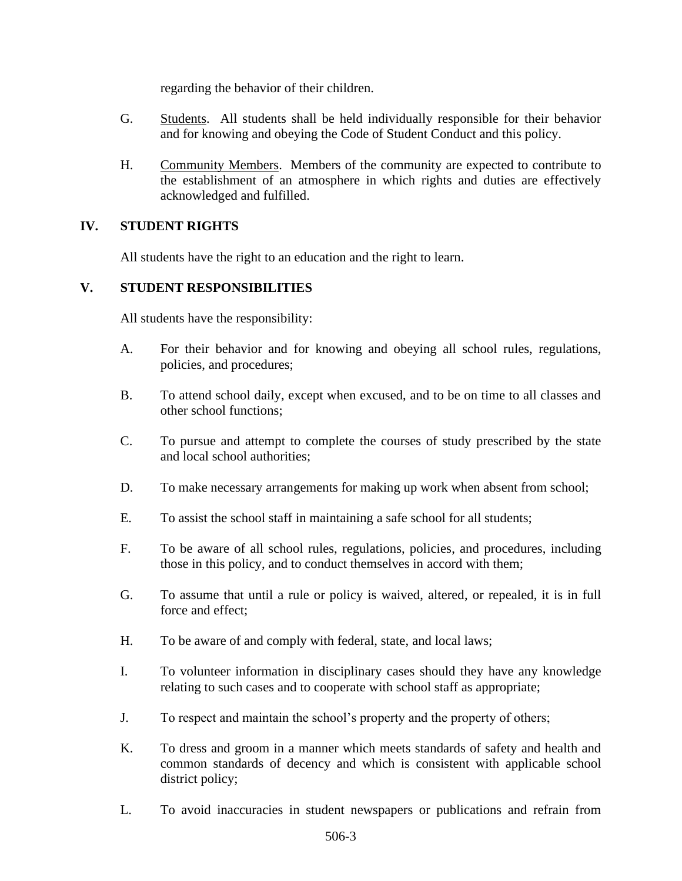regarding the behavior of their children.

- G. Students. All students shall be held individually responsible for their behavior and for knowing and obeying the Code of Student Conduct and this policy.
- H. Community Members. Members of the community are expected to contribute to the establishment of an atmosphere in which rights and duties are effectively acknowledged and fulfilled.

### **IV. STUDENT RIGHTS**

All students have the right to an education and the right to learn.

### **V. STUDENT RESPONSIBILITIES**

All students have the responsibility:

- A. For their behavior and for knowing and obeying all school rules, regulations, policies, and procedures;
- B. To attend school daily, except when excused, and to be on time to all classes and other school functions;
- C. To pursue and attempt to complete the courses of study prescribed by the state and local school authorities;
- D. To make necessary arrangements for making up work when absent from school;
- E. To assist the school staff in maintaining a safe school for all students;
- F. To be aware of all school rules, regulations, policies, and procedures, including those in this policy, and to conduct themselves in accord with them;
- G. To assume that until a rule or policy is waived, altered, or repealed, it is in full force and effect;
- H. To be aware of and comply with federal, state, and local laws;
- I. To volunteer information in disciplinary cases should they have any knowledge relating to such cases and to cooperate with school staff as appropriate;
- J. To respect and maintain the school's property and the property of others;
- K. To dress and groom in a manner which meets standards of safety and health and common standards of decency and which is consistent with applicable school district policy;
- L. To avoid inaccuracies in student newspapers or publications and refrain from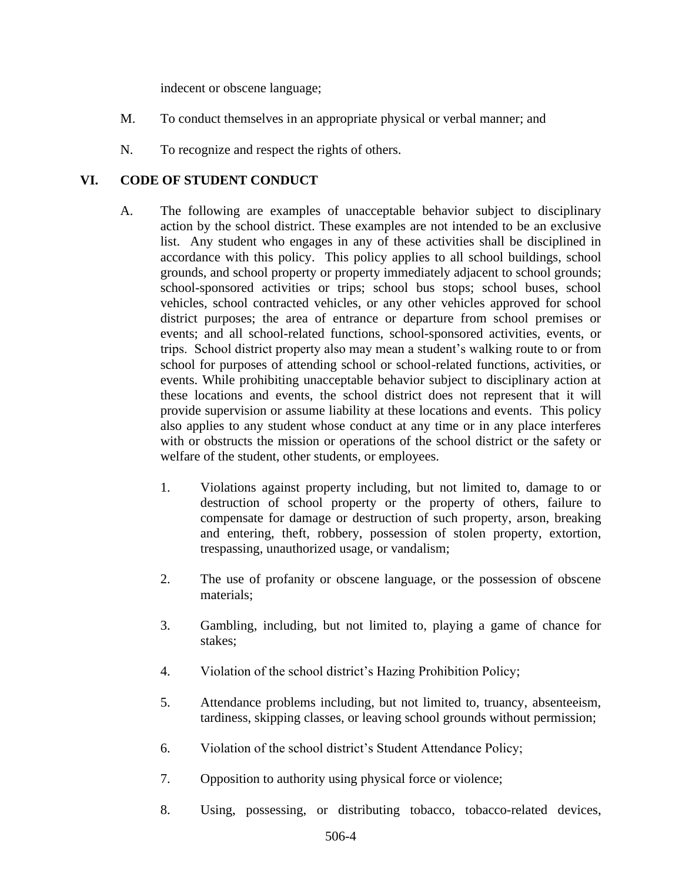indecent or obscene language;

- M. To conduct themselves in an appropriate physical or verbal manner; and
- N. To recognize and respect the rights of others.

## **VI. CODE OF STUDENT CONDUCT**

- A. The following are examples of unacceptable behavior subject to disciplinary action by the school district. These examples are not intended to be an exclusive list. Any student who engages in any of these activities shall be disciplined in accordance with this policy. This policy applies to all school buildings, school grounds, and school property or property immediately adjacent to school grounds; school-sponsored activities or trips; school bus stops; school buses, school vehicles, school contracted vehicles, or any other vehicles approved for school district purposes; the area of entrance or departure from school premises or events; and all school-related functions, school-sponsored activities, events, or trips. School district property also may mean a student's walking route to or from school for purposes of attending school or school-related functions, activities, or events. While prohibiting unacceptable behavior subject to disciplinary action at these locations and events, the school district does not represent that it will provide supervision or assume liability at these locations and events. This policy also applies to any student whose conduct at any time or in any place interferes with or obstructs the mission or operations of the school district or the safety or welfare of the student, other students, or employees.
	- 1. Violations against property including, but not limited to, damage to or destruction of school property or the property of others, failure to compensate for damage or destruction of such property, arson, breaking and entering, theft, robbery, possession of stolen property, extortion, trespassing, unauthorized usage, or vandalism;
	- 2. The use of profanity or obscene language, or the possession of obscene materials;
	- 3. Gambling, including, but not limited to, playing a game of chance for stakes;
	- 4. Violation of the school district's Hazing Prohibition Policy;
	- 5. Attendance problems including, but not limited to, truancy, absenteeism, tardiness, skipping classes, or leaving school grounds without permission;
	- 6. Violation of the school district's Student Attendance Policy;
	- 7. Opposition to authority using physical force or violence;
	- 8. Using, possessing, or distributing tobacco, tobacco-related devices,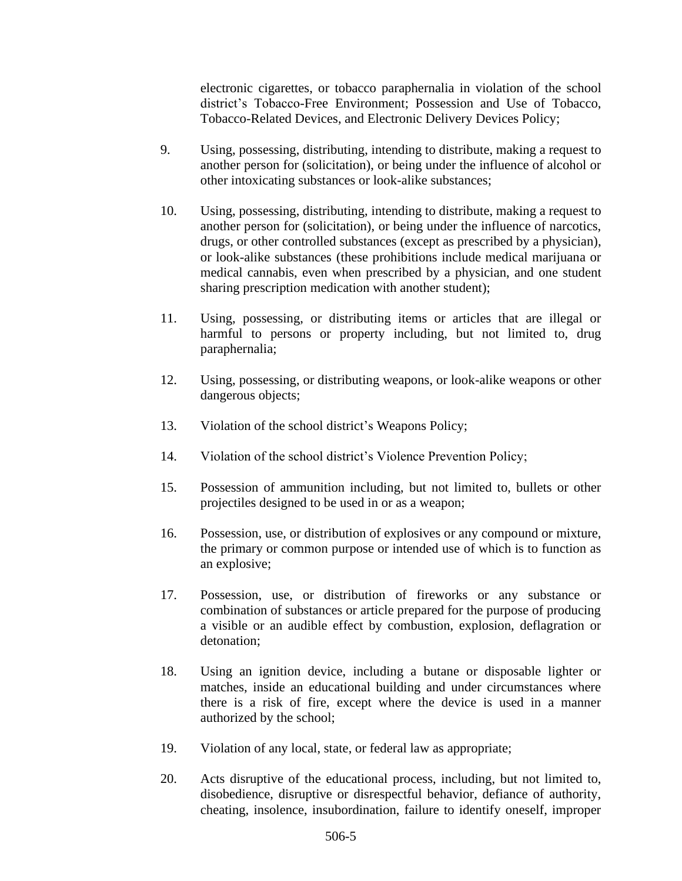electronic cigarettes, or tobacco paraphernalia in violation of the school district's Tobacco-Free Environment; Possession and Use of Tobacco, Tobacco-Related Devices, and Electronic Delivery Devices Policy;

- 9. Using, possessing, distributing, intending to distribute, making a request to another person for (solicitation), or being under the influence of alcohol or other intoxicating substances or look-alike substances;
- 10. Using, possessing, distributing, intending to distribute, making a request to another person for (solicitation), or being under the influence of narcotics, drugs, or other controlled substances (except as prescribed by a physician), or look-alike substances (these prohibitions include medical marijuana or medical cannabis, even when prescribed by a physician, and one student sharing prescription medication with another student);
- 11. Using, possessing, or distributing items or articles that are illegal or harmful to persons or property including, but not limited to, drug paraphernalia;
- 12. Using, possessing, or distributing weapons, or look-alike weapons or other dangerous objects;
- 13. Violation of the school district's Weapons Policy;
- 14. Violation of the school district's Violence Prevention Policy;
- 15. Possession of ammunition including, but not limited to, bullets or other projectiles designed to be used in or as a weapon;
- 16. Possession, use, or distribution of explosives or any compound or mixture, the primary or common purpose or intended use of which is to function as an explosive;
- 17. Possession, use, or distribution of fireworks or any substance or combination of substances or article prepared for the purpose of producing a visible or an audible effect by combustion, explosion, deflagration or detonation;
- 18. Using an ignition device, including a butane or disposable lighter or matches, inside an educational building and under circumstances where there is a risk of fire, except where the device is used in a manner authorized by the school;
- 19. Violation of any local, state, or federal law as appropriate;
- 20. Acts disruptive of the educational process, including, but not limited to, disobedience, disruptive or disrespectful behavior, defiance of authority, cheating, insolence, insubordination, failure to identify oneself, improper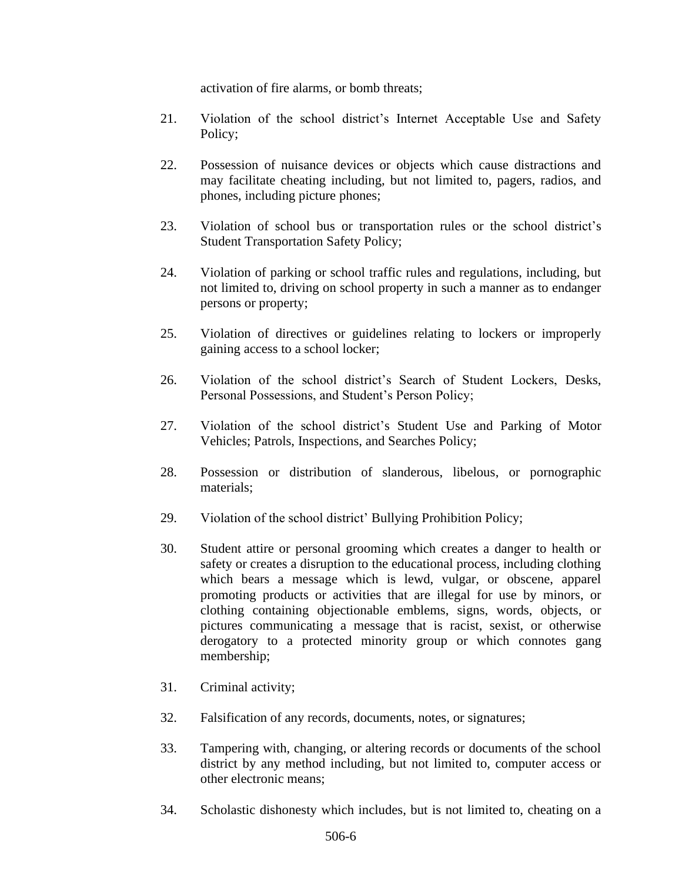activation of fire alarms, or bomb threats;

- 21. Violation of the school district's Internet Acceptable Use and Safety Policy;
- 22. Possession of nuisance devices or objects which cause distractions and may facilitate cheating including, but not limited to, pagers, radios, and phones, including picture phones;
- 23. Violation of school bus or transportation rules or the school district's Student Transportation Safety Policy;
- 24. Violation of parking or school traffic rules and regulations, including, but not limited to, driving on school property in such a manner as to endanger persons or property;
- 25. Violation of directives or guidelines relating to lockers or improperly gaining access to a school locker;
- 26. Violation of the school district's Search of Student Lockers, Desks, Personal Possessions, and Student's Person Policy;
- 27. Violation of the school district's Student Use and Parking of Motor Vehicles; Patrols, Inspections, and Searches Policy;
- 28. Possession or distribution of slanderous, libelous, or pornographic materials;
- 29. Violation of the school district' Bullying Prohibition Policy;
- 30. Student attire or personal grooming which creates a danger to health or safety or creates a disruption to the educational process, including clothing which bears a message which is lewd, vulgar, or obscene, apparel promoting products or activities that are illegal for use by minors, or clothing containing objectionable emblems, signs, words, objects, or pictures communicating a message that is racist, sexist, or otherwise derogatory to a protected minority group or which connotes gang membership;
- 31. Criminal activity;
- 32. Falsification of any records, documents, notes, or signatures;
- 33. Tampering with, changing, or altering records or documents of the school district by any method including, but not limited to, computer access or other electronic means;
- 34. Scholastic dishonesty which includes, but is not limited to, cheating on a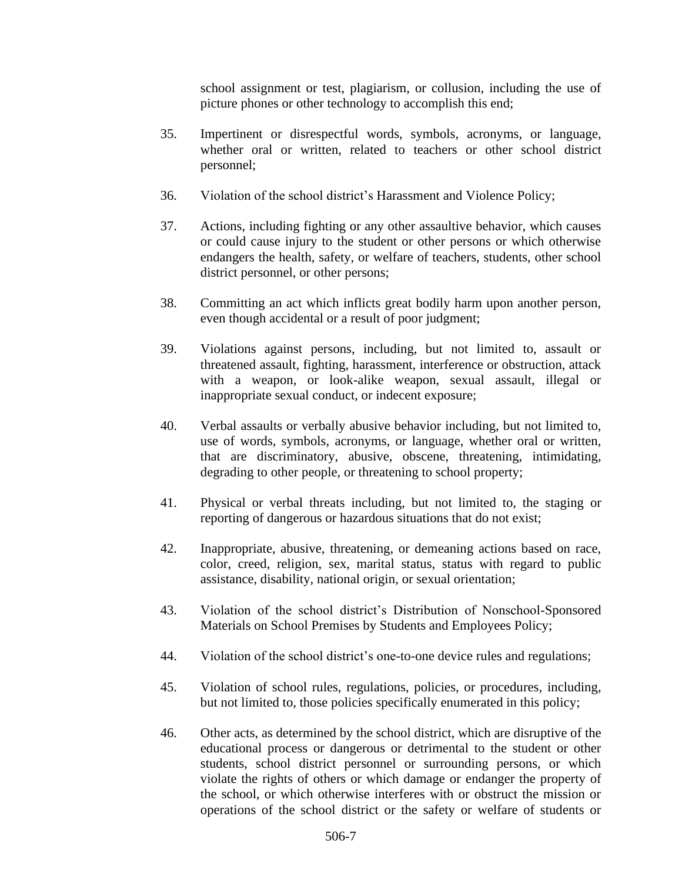school assignment or test, plagiarism, or collusion, including the use of picture phones or other technology to accomplish this end;

- 35. Impertinent or disrespectful words, symbols, acronyms, or language, whether oral or written, related to teachers or other school district personnel;
- 36. Violation of the school district's Harassment and Violence Policy;
- 37. Actions, including fighting or any other assaultive behavior, which causes or could cause injury to the student or other persons or which otherwise endangers the health, safety, or welfare of teachers, students, other school district personnel, or other persons;
- 38. Committing an act which inflicts great bodily harm upon another person, even though accidental or a result of poor judgment;
- 39. Violations against persons, including, but not limited to, assault or threatened assault, fighting, harassment, interference or obstruction, attack with a weapon, or look-alike weapon, sexual assault, illegal or inappropriate sexual conduct, or indecent exposure;
- 40. Verbal assaults or verbally abusive behavior including, but not limited to, use of words, symbols, acronyms, or language, whether oral or written, that are discriminatory, abusive, obscene, threatening, intimidating, degrading to other people, or threatening to school property;
- 41. Physical or verbal threats including, but not limited to, the staging or reporting of dangerous or hazardous situations that do not exist;
- 42. Inappropriate, abusive, threatening, or demeaning actions based on race, color, creed, religion, sex, marital status, status with regard to public assistance, disability, national origin, or sexual orientation;
- 43. Violation of the school district's Distribution of Nonschool-Sponsored Materials on School Premises by Students and Employees Policy;
- 44. Violation of the school district's one-to-one device rules and regulations;
- 45. Violation of school rules, regulations, policies, or procedures, including, but not limited to, those policies specifically enumerated in this policy;
- 46. Other acts, as determined by the school district, which are disruptive of the educational process or dangerous or detrimental to the student or other students, school district personnel or surrounding persons, or which violate the rights of others or which damage or endanger the property of the school, or which otherwise interferes with or obstruct the mission or operations of the school district or the safety or welfare of students or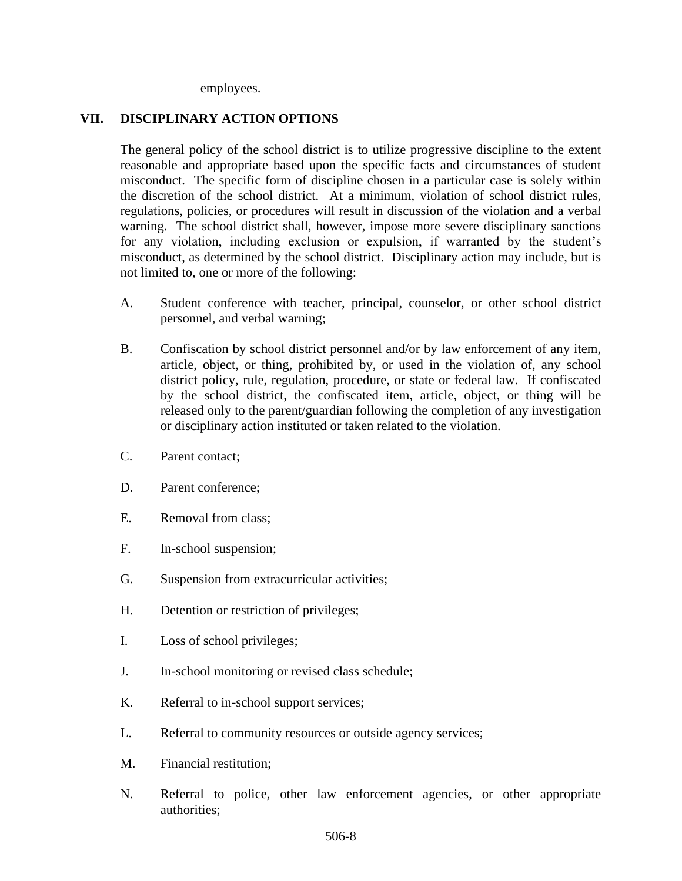employees.

#### **VII. DISCIPLINARY ACTION OPTIONS**

The general policy of the school district is to utilize progressive discipline to the extent reasonable and appropriate based upon the specific facts and circumstances of student misconduct. The specific form of discipline chosen in a particular case is solely within the discretion of the school district. At a minimum, violation of school district rules, regulations, policies, or procedures will result in discussion of the violation and a verbal warning. The school district shall, however, impose more severe disciplinary sanctions for any violation, including exclusion or expulsion, if warranted by the student's misconduct, as determined by the school district. Disciplinary action may include, but is not limited to, one or more of the following:

- A. Student conference with teacher, principal, counselor, or other school district personnel, and verbal warning;
- B. Confiscation by school district personnel and/or by law enforcement of any item, article, object, or thing, prohibited by, or used in the violation of, any school district policy, rule, regulation, procedure, or state or federal law. If confiscated by the school district, the confiscated item, article, object, or thing will be released only to the parent/guardian following the completion of any investigation or disciplinary action instituted or taken related to the violation.
- C. Parent contact;
- D. Parent conference;
- E. Removal from class;
- F. In-school suspension;
- G. Suspension from extracurricular activities;
- H. Detention or restriction of privileges;
- I. Loss of school privileges;
- J. In-school monitoring or revised class schedule;
- K. Referral to in-school support services;
- L. Referral to community resources or outside agency services;
- M. Financial restitution;
- N. Referral to police, other law enforcement agencies, or other appropriate authorities;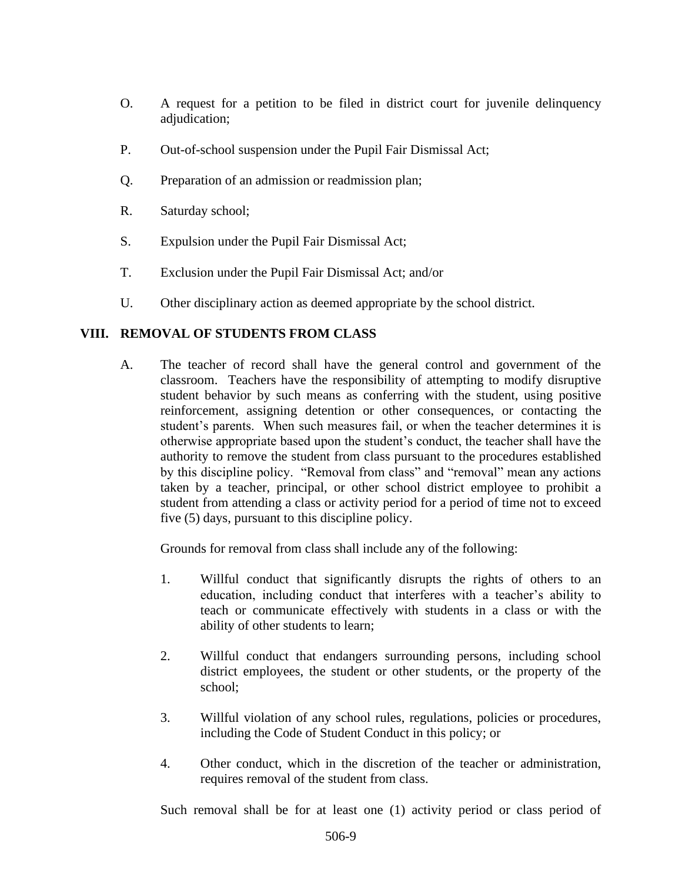- O. A request for a petition to be filed in district court for juvenile delinquency adjudication;
- P. Out-of-school suspension under the Pupil Fair Dismissal Act;
- Q. Preparation of an admission or readmission plan;
- R. Saturday school;
- S. Expulsion under the Pupil Fair Dismissal Act;
- T. Exclusion under the Pupil Fair Dismissal Act; and/or
- U. Other disciplinary action as deemed appropriate by the school district.

## **VIII. REMOVAL OF STUDENTS FROM CLASS**

A. The teacher of record shall have the general control and government of the classroom. Teachers have the responsibility of attempting to modify disruptive student behavior by such means as conferring with the student, using positive reinforcement, assigning detention or other consequences, or contacting the student's parents. When such measures fail, or when the teacher determines it is otherwise appropriate based upon the student's conduct, the teacher shall have the authority to remove the student from class pursuant to the procedures established by this discipline policy. "Removal from class" and "removal" mean any actions taken by a teacher, principal, or other school district employee to prohibit a student from attending a class or activity period for a period of time not to exceed five (5) days, pursuant to this discipline policy.

Grounds for removal from class shall include any of the following:

- 1. Willful conduct that significantly disrupts the rights of others to an education, including conduct that interferes with a teacher's ability to teach or communicate effectively with students in a class or with the ability of other students to learn;
- 2. Willful conduct that endangers surrounding persons, including school district employees, the student or other students, or the property of the school;
- 3. Willful violation of any school rules, regulations, policies or procedures, including the Code of Student Conduct in this policy; or
- 4. Other conduct, which in the discretion of the teacher or administration, requires removal of the student from class.

Such removal shall be for at least one (1) activity period or class period of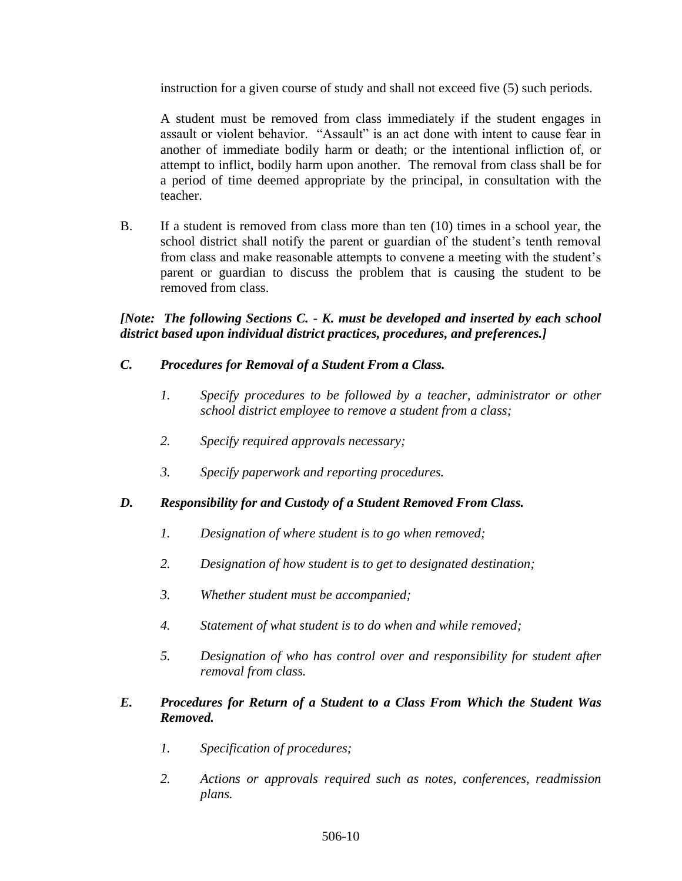instruction for a given course of study and shall not exceed five (5) such periods.

A student must be removed from class immediately if the student engages in assault or violent behavior. "Assault" is an act done with intent to cause fear in another of immediate bodily harm or death; or the intentional infliction of, or attempt to inflict, bodily harm upon another. The removal from class shall be for a period of time deemed appropriate by the principal, in consultation with the teacher.

B. If a student is removed from class more than ten (10) times in a school year, the school district shall notify the parent or guardian of the student's tenth removal from class and make reasonable attempts to convene a meeting with the student's parent or guardian to discuss the problem that is causing the student to be removed from class.

#### *[Note: The following Sections C. - K. must be developed and inserted by each school district based upon individual district practices, procedures, and preferences.]*

## *C. Procedures for Removal of a Student From a Class.*

- *1. Specify procedures to be followed by a teacher, administrator or other school district employee to remove a student from a class;*
- *2. Specify required approvals necessary;*
- *3. Specify paperwork and reporting procedures.*

# *D. Responsibility for and Custody of a Student Removed From Class.*

- *1. Designation of where student is to go when removed;*
- *2. Designation of how student is to get to designated destination;*
- *3. Whether student must be accompanied;*
- *4. Statement of what student is to do when and while removed;*
- *5. Designation of who has control over and responsibility for student after removal from class.*

#### *E. Procedures for Return of a Student to a Class From Which the Student Was Removed.*

- *1. Specification of procedures;*
- *2. Actions or approvals required such as notes, conferences, readmission plans.*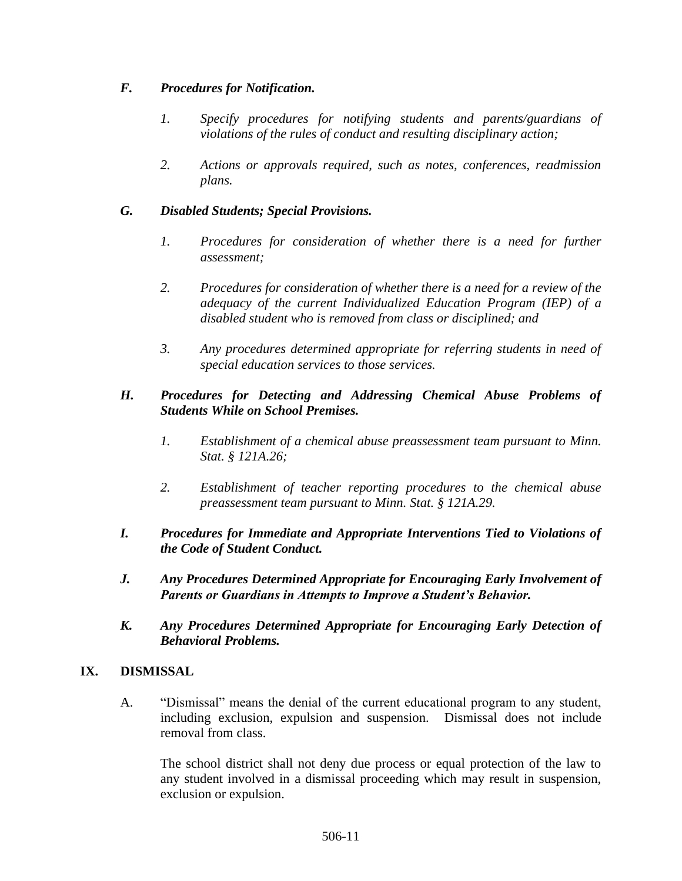### *F. Procedures for Notification.*

- *1. Specify procedures for notifying students and parents/guardians of violations of the rules of conduct and resulting disciplinary action;*
- *2. Actions or approvals required, such as notes, conferences, readmission plans.*

# *G. Disabled Students; Special Provisions.*

- 1. Procedures for consideration of whether there is a need for further *assessment;*
- *2. Procedures for consideration of whether there is a need for a review of the adequacy of the current Individualized Education Program (IEP) of a disabled student who is removed from class or disciplined; and*
- *3. Any procedures determined appropriate for referring students in need of special education services to those services.*

### *H. Procedures for Detecting and Addressing Chemical Abuse Problems of Students While on School Premises.*

- *1. Establishment of a chemical abuse preassessment team pursuant to Minn. Stat. § 121A.26;*
- *2. Establishment of teacher reporting procedures to the chemical abuse preassessment team pursuant to Minn. Stat. § 121A.29.*
- *I. Procedures for Immediate and Appropriate Interventions Tied to Violations of the Code of Student Conduct.*
- *J. Any Procedures Determined Appropriate for Encouraging Early Involvement of Parents or Guardians in Attempts to Improve a Student's Behavior.*
- *K. Any Procedures Determined Appropriate for Encouraging Early Detection of Behavioral Problems.*

### **IX. DISMISSAL**

A. "Dismissal" means the denial of the current educational program to any student, including exclusion, expulsion and suspension. Dismissal does not include removal from class.

The school district shall not deny due process or equal protection of the law to any student involved in a dismissal proceeding which may result in suspension, exclusion or expulsion.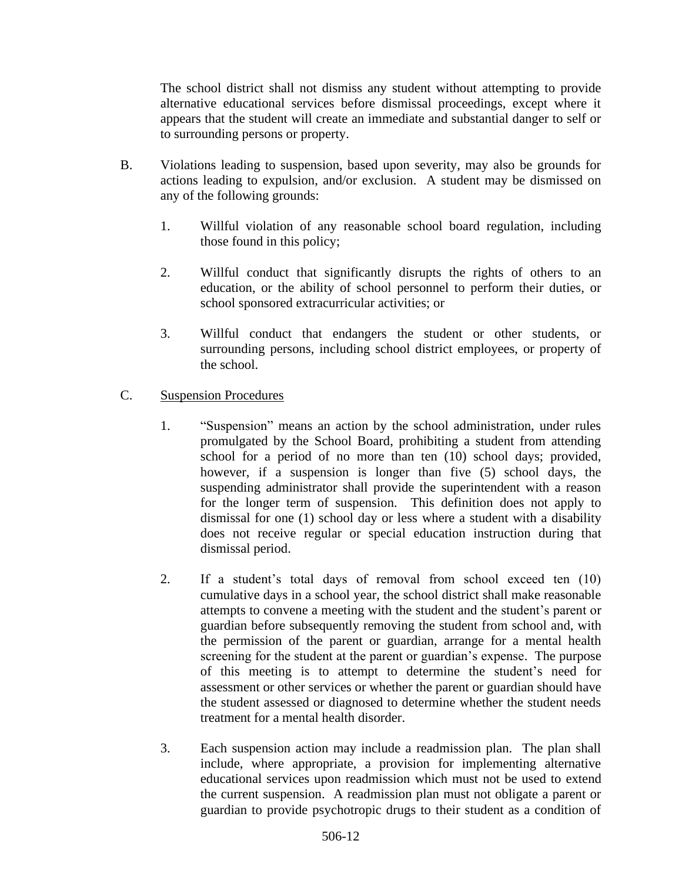The school district shall not dismiss any student without attempting to provide alternative educational services before dismissal proceedings, except where it appears that the student will create an immediate and substantial danger to self or to surrounding persons or property.

- B. Violations leading to suspension, based upon severity, may also be grounds for actions leading to expulsion, and/or exclusion. A student may be dismissed on any of the following grounds:
	- 1. Willful violation of any reasonable school board regulation, including those found in this policy;
	- 2. Willful conduct that significantly disrupts the rights of others to an education, or the ability of school personnel to perform their duties, or school sponsored extracurricular activities; or
	- 3. Willful conduct that endangers the student or other students, or surrounding persons, including school district employees, or property of the school.
- C. Suspension Procedures
	- 1. "Suspension" means an action by the school administration, under rules promulgated by the School Board, prohibiting a student from attending school for a period of no more than ten (10) school days; provided, however, if a suspension is longer than five (5) school days, the suspending administrator shall provide the superintendent with a reason for the longer term of suspension. This definition does not apply to dismissal for one (1) school day or less where a student with a disability does not receive regular or special education instruction during that dismissal period.
	- 2. If a student's total days of removal from school exceed ten (10) cumulative days in a school year, the school district shall make reasonable attempts to convene a meeting with the student and the student's parent or guardian before subsequently removing the student from school and, with the permission of the parent or guardian, arrange for a mental health screening for the student at the parent or guardian's expense. The purpose of this meeting is to attempt to determine the student's need for assessment or other services or whether the parent or guardian should have the student assessed or diagnosed to determine whether the student needs treatment for a mental health disorder.
	- 3. Each suspension action may include a readmission plan. The plan shall include, where appropriate, a provision for implementing alternative educational services upon readmission which must not be used to extend the current suspension. A readmission plan must not obligate a parent or guardian to provide psychotropic drugs to their student as a condition of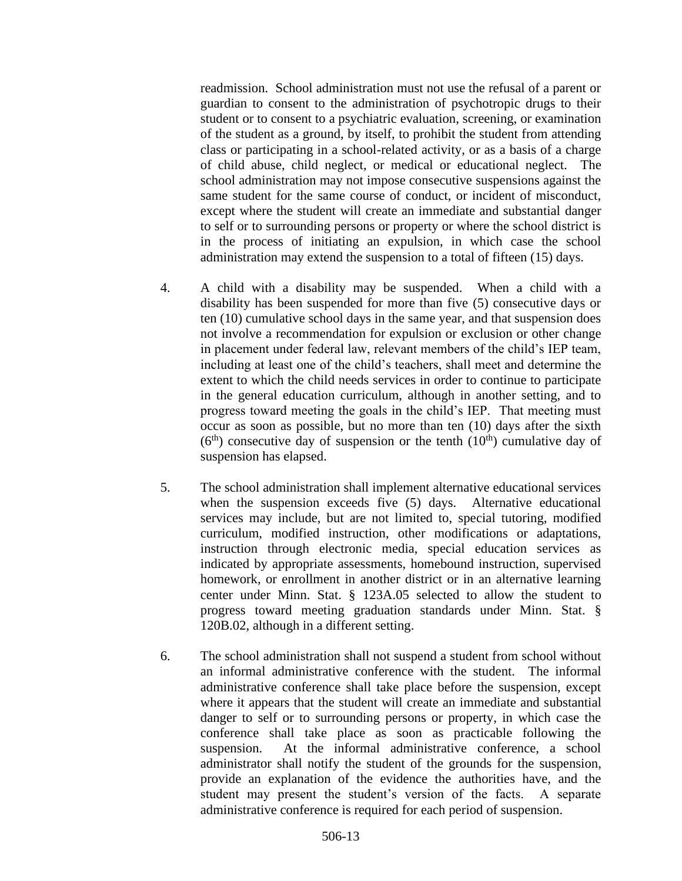readmission. School administration must not use the refusal of a parent or guardian to consent to the administration of psychotropic drugs to their student or to consent to a psychiatric evaluation, screening, or examination of the student as a ground, by itself, to prohibit the student from attending class or participating in a school-related activity, or as a basis of a charge of child abuse, child neglect, or medical or educational neglect. The school administration may not impose consecutive suspensions against the same student for the same course of conduct, or incident of misconduct, except where the student will create an immediate and substantial danger to self or to surrounding persons or property or where the school district is in the process of initiating an expulsion, in which case the school administration may extend the suspension to a total of fifteen (15) days.

- 4. A child with a disability may be suspended. When a child with a disability has been suspended for more than five (5) consecutive days or ten (10) cumulative school days in the same year, and that suspension does not involve a recommendation for expulsion or exclusion or other change in placement under federal law, relevant members of the child's IEP team, including at least one of the child's teachers, shall meet and determine the extent to which the child needs services in order to continue to participate in the general education curriculum, although in another setting, and to progress toward meeting the goals in the child's IEP. That meeting must occur as soon as possible, but no more than ten (10) days after the sixth  $(6<sup>th</sup>)$  consecutive day of suspension or the tenth  $(10<sup>th</sup>)$  cumulative day of suspension has elapsed.
- 5. The school administration shall implement alternative educational services when the suspension exceeds five (5) days. Alternative educational services may include, but are not limited to, special tutoring, modified curriculum, modified instruction, other modifications or adaptations, instruction through electronic media, special education services as indicated by appropriate assessments, homebound instruction, supervised homework, or enrollment in another district or in an alternative learning center under Minn. Stat. § 123A.05 selected to allow the student to progress toward meeting graduation standards under Minn. Stat. § 120B.02, although in a different setting.
- 6. The school administration shall not suspend a student from school without an informal administrative conference with the student. The informal administrative conference shall take place before the suspension, except where it appears that the student will create an immediate and substantial danger to self or to surrounding persons or property, in which case the conference shall take place as soon as practicable following the suspension. At the informal administrative conference, a school administrator shall notify the student of the grounds for the suspension, provide an explanation of the evidence the authorities have, and the student may present the student's version of the facts. A separate administrative conference is required for each period of suspension.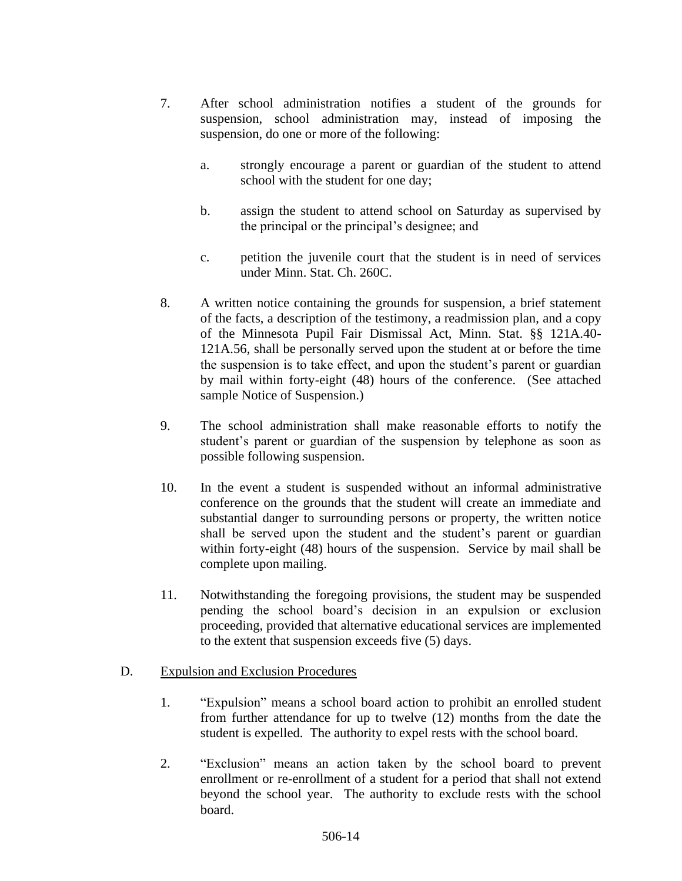- 7. After school administration notifies a student of the grounds for suspension, school administration may, instead of imposing the suspension, do one or more of the following:
	- a. strongly encourage a parent or guardian of the student to attend school with the student for one day;
	- b. assign the student to attend school on Saturday as supervised by the principal or the principal's designee; and
	- c. petition the juvenile court that the student is in need of services under Minn. Stat. Ch. 260C.
- 8. A written notice containing the grounds for suspension, a brief statement of the facts, a description of the testimony, a readmission plan, and a copy of the Minnesota Pupil Fair Dismissal Act, Minn. Stat. §§ 121A.40- 121A.56, shall be personally served upon the student at or before the time the suspension is to take effect, and upon the student's parent or guardian by mail within forty-eight (48) hours of the conference. (See attached sample Notice of Suspension.)
- 9. The school administration shall make reasonable efforts to notify the student's parent or guardian of the suspension by telephone as soon as possible following suspension.
- 10. In the event a student is suspended without an informal administrative conference on the grounds that the student will create an immediate and substantial danger to surrounding persons or property, the written notice shall be served upon the student and the student's parent or guardian within forty-eight (48) hours of the suspension. Service by mail shall be complete upon mailing.
- 11. Notwithstanding the foregoing provisions, the student may be suspended pending the school board's decision in an expulsion or exclusion proceeding, provided that alternative educational services are implemented to the extent that suspension exceeds five (5) days.

#### D. Expulsion and Exclusion Procedures

- 1. "Expulsion" means a school board action to prohibit an enrolled student from further attendance for up to twelve (12) months from the date the student is expelled. The authority to expel rests with the school board.
- 2. "Exclusion" means an action taken by the school board to prevent enrollment or re-enrollment of a student for a period that shall not extend beyond the school year. The authority to exclude rests with the school board.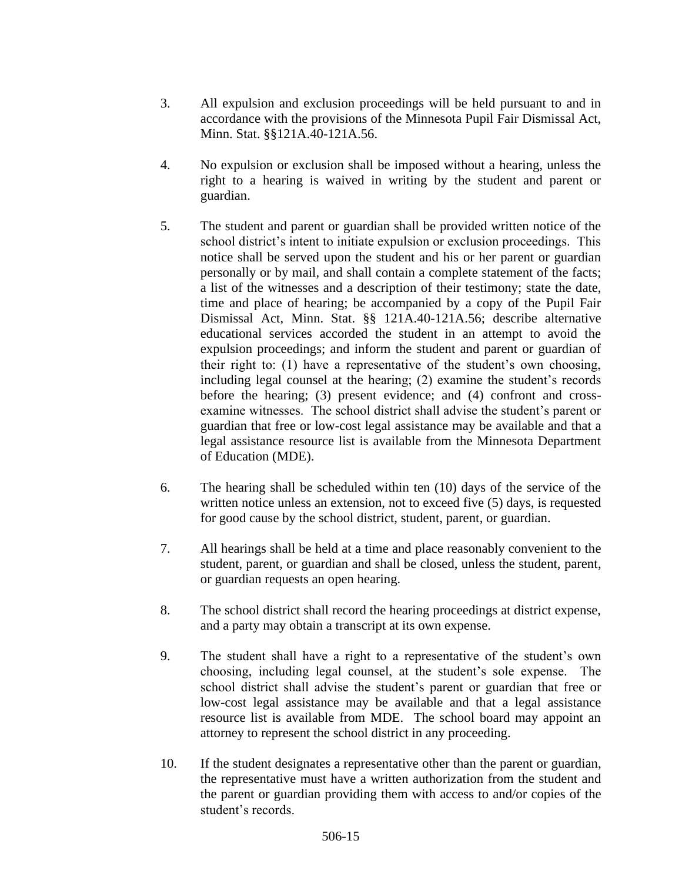- 3. All expulsion and exclusion proceedings will be held pursuant to and in accordance with the provisions of the Minnesota Pupil Fair Dismissal Act, Minn. Stat. §§121A.40-121A.56.
- 4. No expulsion or exclusion shall be imposed without a hearing, unless the right to a hearing is waived in writing by the student and parent or guardian.
- 5. The student and parent or guardian shall be provided written notice of the school district's intent to initiate expulsion or exclusion proceedings. This notice shall be served upon the student and his or her parent or guardian personally or by mail, and shall contain a complete statement of the facts; a list of the witnesses and a description of their testimony; state the date, time and place of hearing; be accompanied by a copy of the Pupil Fair Dismissal Act, Minn. Stat. §§ 121A.40-121A.56; describe alternative educational services accorded the student in an attempt to avoid the expulsion proceedings; and inform the student and parent or guardian of their right to: (1) have a representative of the student's own choosing, including legal counsel at the hearing; (2) examine the student's records before the hearing; (3) present evidence; and (4) confront and crossexamine witnesses. The school district shall advise the student's parent or guardian that free or low-cost legal assistance may be available and that a legal assistance resource list is available from the Minnesota Department of Education (MDE).
- 6. The hearing shall be scheduled within ten (10) days of the service of the written notice unless an extension, not to exceed five (5) days, is requested for good cause by the school district, student, parent, or guardian.
- 7. All hearings shall be held at a time and place reasonably convenient to the student, parent, or guardian and shall be closed, unless the student, parent, or guardian requests an open hearing.
- 8. The school district shall record the hearing proceedings at district expense, and a party may obtain a transcript at its own expense.
- 9. The student shall have a right to a representative of the student's own choosing, including legal counsel, at the student's sole expense. The school district shall advise the student's parent or guardian that free or low-cost legal assistance may be available and that a legal assistance resource list is available from MDE. The school board may appoint an attorney to represent the school district in any proceeding.
- 10. If the student designates a representative other than the parent or guardian, the representative must have a written authorization from the student and the parent or guardian providing them with access to and/or copies of the student's records.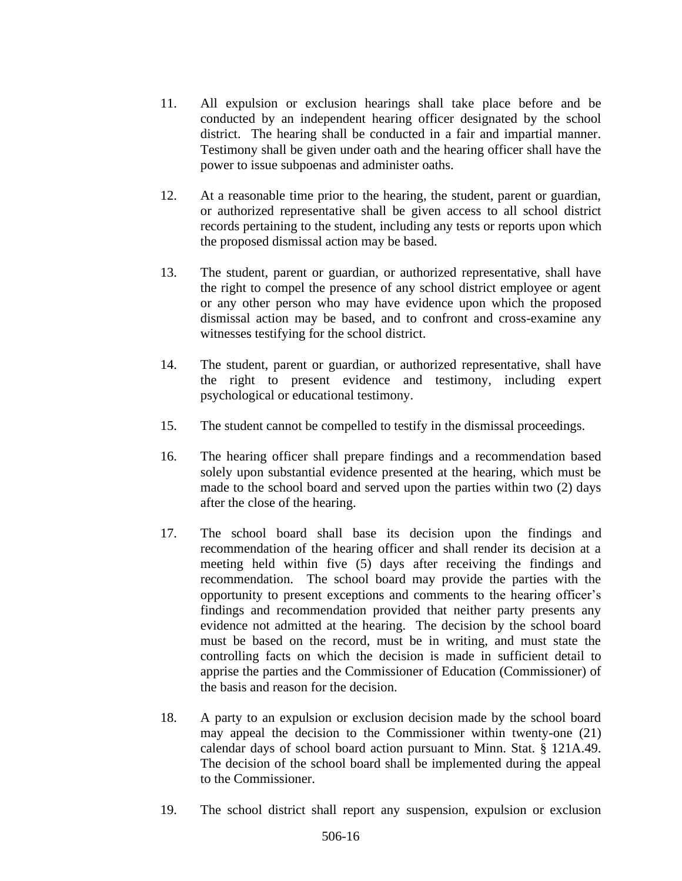- 11. All expulsion or exclusion hearings shall take place before and be conducted by an independent hearing officer designated by the school district. The hearing shall be conducted in a fair and impartial manner. Testimony shall be given under oath and the hearing officer shall have the power to issue subpoenas and administer oaths.
- 12. At a reasonable time prior to the hearing, the student, parent or guardian, or authorized representative shall be given access to all school district records pertaining to the student, including any tests or reports upon which the proposed dismissal action may be based.
- 13. The student, parent or guardian, or authorized representative, shall have the right to compel the presence of any school district employee or agent or any other person who may have evidence upon which the proposed dismissal action may be based, and to confront and cross-examine any witnesses testifying for the school district.
- 14. The student, parent or guardian, or authorized representative, shall have the right to present evidence and testimony, including expert psychological or educational testimony.
- 15. The student cannot be compelled to testify in the dismissal proceedings.
- 16. The hearing officer shall prepare findings and a recommendation based solely upon substantial evidence presented at the hearing, which must be made to the school board and served upon the parties within two (2) days after the close of the hearing.
- 17. The school board shall base its decision upon the findings and recommendation of the hearing officer and shall render its decision at a meeting held within five (5) days after receiving the findings and recommendation. The school board may provide the parties with the opportunity to present exceptions and comments to the hearing officer's findings and recommendation provided that neither party presents any evidence not admitted at the hearing. The decision by the school board must be based on the record, must be in writing, and must state the controlling facts on which the decision is made in sufficient detail to apprise the parties and the Commissioner of Education (Commissioner) of the basis and reason for the decision.
- 18. A party to an expulsion or exclusion decision made by the school board may appeal the decision to the Commissioner within twenty-one (21) calendar days of school board action pursuant to Minn. Stat. § 121A.49. The decision of the school board shall be implemented during the appeal to the Commissioner.
- 19. The school district shall report any suspension, expulsion or exclusion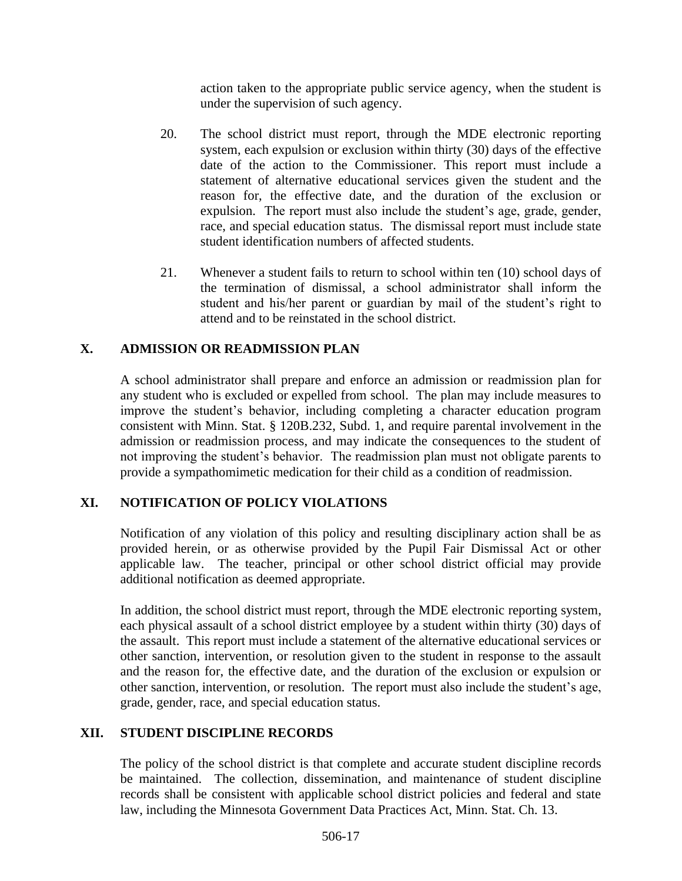action taken to the appropriate public service agency, when the student is under the supervision of such agency.

- 20. The school district must report, through the MDE electronic reporting system, each expulsion or exclusion within thirty (30) days of the effective date of the action to the Commissioner. This report must include a statement of alternative educational services given the student and the reason for, the effective date, and the duration of the exclusion or expulsion. The report must also include the student's age, grade, gender, race, and special education status. The dismissal report must include state student identification numbers of affected students.
- 21. Whenever a student fails to return to school within ten (10) school days of the termination of dismissal, a school administrator shall inform the student and his/her parent or guardian by mail of the student's right to attend and to be reinstated in the school district.

## **X. ADMISSION OR READMISSION PLAN**

A school administrator shall prepare and enforce an admission or readmission plan for any student who is excluded or expelled from school. The plan may include measures to improve the student's behavior, including completing a character education program consistent with Minn. Stat. § 120B.232, Subd. 1, and require parental involvement in the admission or readmission process, and may indicate the consequences to the student of not improving the student's behavior. The readmission plan must not obligate parents to provide a sympathomimetic medication for their child as a condition of readmission.

### **XI. NOTIFICATION OF POLICY VIOLATIONS**

Notification of any violation of this policy and resulting disciplinary action shall be as provided herein, or as otherwise provided by the Pupil Fair Dismissal Act or other applicable law. The teacher, principal or other school district official may provide additional notification as deemed appropriate.

In addition, the school district must report, through the MDE electronic reporting system, each physical assault of a school district employee by a student within thirty (30) days of the assault. This report must include a statement of the alternative educational services or other sanction, intervention, or resolution given to the student in response to the assault and the reason for, the effective date, and the duration of the exclusion or expulsion or other sanction, intervention, or resolution. The report must also include the student's age, grade, gender, race, and special education status.

### **XII. STUDENT DISCIPLINE RECORDS**

The policy of the school district is that complete and accurate student discipline records be maintained. The collection, dissemination, and maintenance of student discipline records shall be consistent with applicable school district policies and federal and state law, including the Minnesota Government Data Practices Act, Minn. Stat. Ch. 13.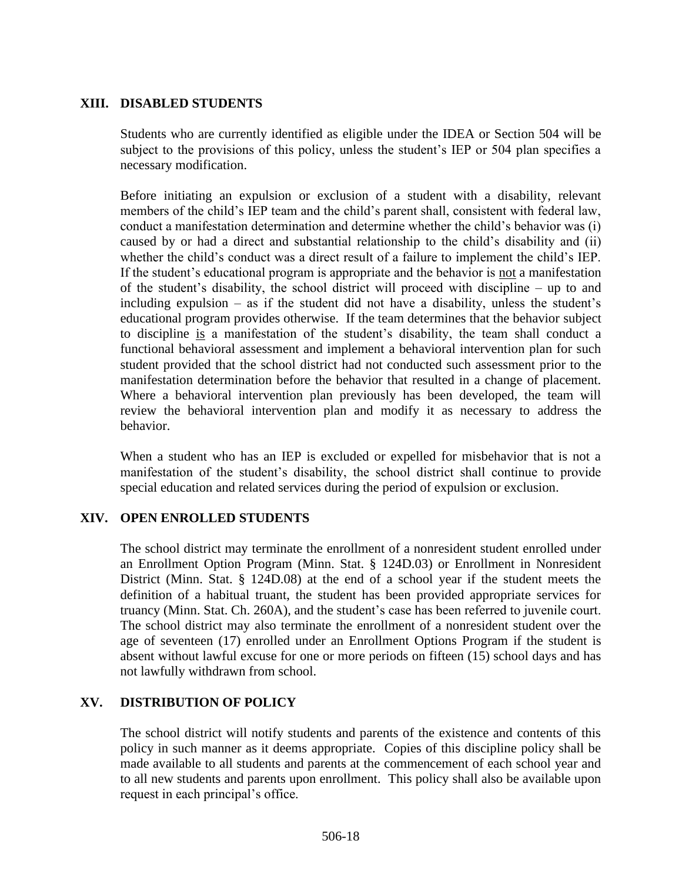#### **XIII. DISABLED STUDENTS**

Students who are currently identified as eligible under the IDEA or Section 504 will be subject to the provisions of this policy, unless the student's IEP or 504 plan specifies a necessary modification.

Before initiating an expulsion or exclusion of a student with a disability, relevant members of the child's IEP team and the child's parent shall, consistent with federal law, conduct a manifestation determination and determine whether the child's behavior was (i) caused by or had a direct and substantial relationship to the child's disability and (ii) whether the child's conduct was a direct result of a failure to implement the child's IEP. If the student's educational program is appropriate and the behavior is not a manifestation of the student's disability, the school district will proceed with discipline – up to and including expulsion – as if the student did not have a disability, unless the student's educational program provides otherwise. If the team determines that the behavior subject to discipline is a manifestation of the student's disability, the team shall conduct a functional behavioral assessment and implement a behavioral intervention plan for such student provided that the school district had not conducted such assessment prior to the manifestation determination before the behavior that resulted in a change of placement. Where a behavioral intervention plan previously has been developed, the team will review the behavioral intervention plan and modify it as necessary to address the behavior.

When a student who has an IEP is excluded or expelled for misbehavior that is not a manifestation of the student's disability, the school district shall continue to provide special education and related services during the period of expulsion or exclusion.

#### **XIV. OPEN ENROLLED STUDENTS**

The school district may terminate the enrollment of a nonresident student enrolled under an Enrollment Option Program (Minn. Stat. § 124D.03) or Enrollment in Nonresident District (Minn. Stat. § 124D.08) at the end of a school year if the student meets the definition of a habitual truant, the student has been provided appropriate services for truancy (Minn. Stat. Ch. 260A), and the student's case has been referred to juvenile court. The school district may also terminate the enrollment of a nonresident student over the age of seventeen (17) enrolled under an Enrollment Options Program if the student is absent without lawful excuse for one or more periods on fifteen (15) school days and has not lawfully withdrawn from school.

#### **XV. DISTRIBUTION OF POLICY**

The school district will notify students and parents of the existence and contents of this policy in such manner as it deems appropriate. Copies of this discipline policy shall be made available to all students and parents at the commencement of each school year and to all new students and parents upon enrollment. This policy shall also be available upon request in each principal's office.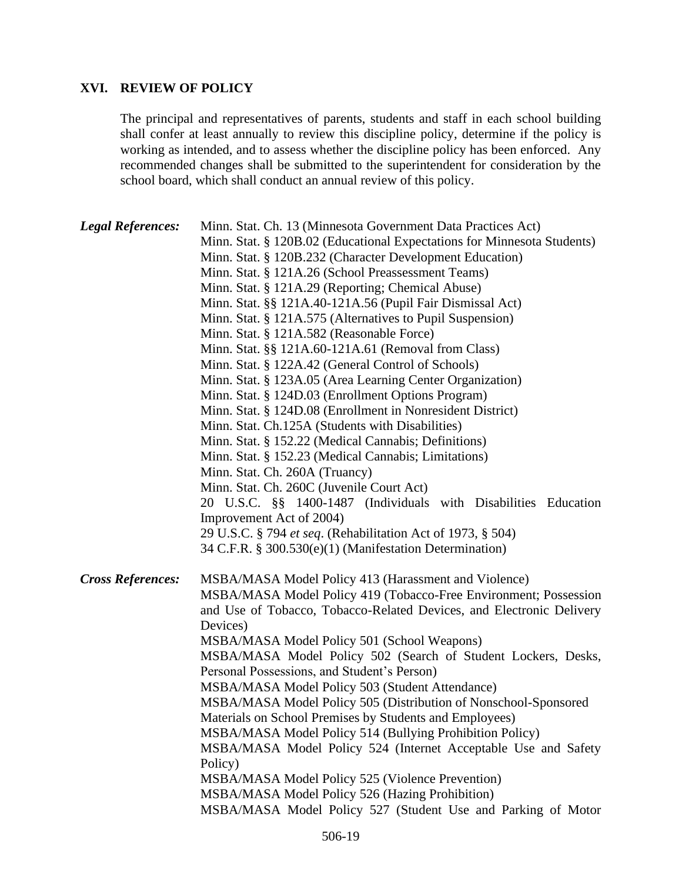### **XVI. REVIEW OF POLICY**

The principal and representatives of parents, students and staff in each school building shall confer at least annually to review this discipline policy, determine if the policy is working as intended, and to assess whether the discipline policy has been enforced. Any recommended changes shall be submitted to the superintendent for consideration by the school board, which shall conduct an annual review of this policy.

| <b>Legal References:</b> | Minn. Stat. Ch. 13 (Minnesota Government Data Practices Act)            |
|--------------------------|-------------------------------------------------------------------------|
|                          | Minn. Stat. § 120B.02 (Educational Expectations for Minnesota Students) |
|                          | Minn. Stat. § 120B.232 (Character Development Education)                |
|                          | Minn. Stat. § 121A.26 (School Preassessment Teams)                      |
|                          | Minn. Stat. § 121A.29 (Reporting; Chemical Abuse)                       |
|                          | Minn. Stat. §§ 121A.40-121A.56 (Pupil Fair Dismissal Act)               |
|                          | Minn. Stat. § 121A.575 (Alternatives to Pupil Suspension)               |
|                          | Minn. Stat. § 121A.582 (Reasonable Force)                               |
|                          | Minn. Stat. §§ 121A.60-121A.61 (Removal from Class)                     |
|                          | Minn. Stat. § 122A.42 (General Control of Schools)                      |
|                          | Minn. Stat. § 123A.05 (Area Learning Center Organization)               |
|                          | Minn. Stat. § 124D.03 (Enrollment Options Program)                      |
|                          | Minn. Stat. § 124D.08 (Enrollment in Nonresident District)              |
|                          | Minn. Stat. Ch.125A (Students with Disabilities)                        |
|                          | Minn. Stat. § 152.22 (Medical Cannabis; Definitions)                    |
|                          | Minn. Stat. § 152.23 (Medical Cannabis; Limitations)                    |
|                          | Minn. Stat. Ch. 260A (Truancy)                                          |
|                          | Minn. Stat. Ch. 260C (Juvenile Court Act)                               |
|                          | 20 U.S.C. §§ 1400-1487 (Individuals with Disabilities Education         |
|                          | Improvement Act of 2004)                                                |
|                          | 29 U.S.C. § 794 et seq. (Rehabilitation Act of 1973, § 504)             |
|                          | 34 C.F.R. § 300.530(e)(1) (Manifestation Determination)                 |
| <b>Cross References:</b> | MSBA/MASA Model Policy 413 (Harassment and Violence)                    |
|                          | MSBA/MASA Model Policy 419 (Tobacco-Free Environment; Possession        |
|                          | and Use of Tobacco, Tobacco-Related Devices, and Electronic Delivery    |
|                          | Devices)                                                                |
|                          | MSBA/MASA Model Policy 501 (School Weapons)                             |
|                          | MSBA/MASA Model Policy 502 (Search of Student Lockers, Desks,           |
|                          | Personal Possessions, and Student's Person)                             |
|                          | MSBA/MASA Model Policy 503 (Student Attendance)                         |
|                          | MSBA/MASA Model Policy 505 (Distribution of Nonschool-Sponsored         |
|                          | Materials on School Premises by Students and Employees)                 |
|                          | MSBA/MASA Model Policy 514 (Bullying Prohibition Policy)                |
|                          | MSBA/MASA Model Policy 524 (Internet Acceptable Use and Safety          |
|                          | Policy)                                                                 |
|                          | MSBA/MASA Model Policy 525 (Violence Prevention)                        |
|                          | MSBA/MASA Model Policy 526 (Hazing Prohibition)                         |
|                          | MSBA/MASA Model Policy 527 (Student Use and Parking of Motor            |